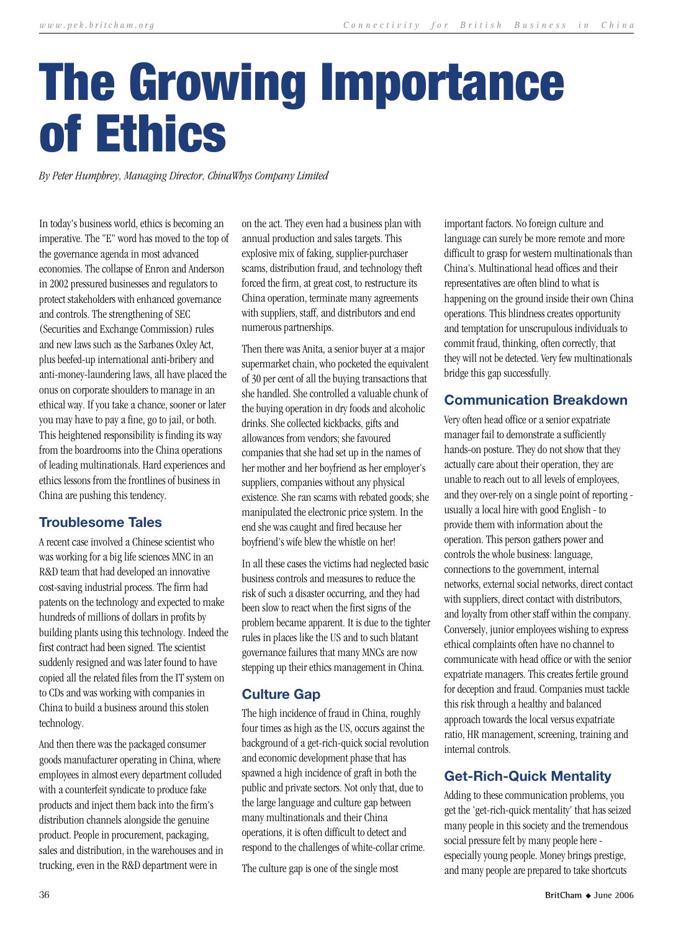# The Growing Importance of Ethics

*By Peter Humphrey, Managing Director, ChinaWhys Company Limited*

In today's business world, ethics is becoming an imperative. The "E" word has moved to the top of the governance agenda in most advanced economies. The collapse of Enron and Anderson in 2002 pressured businesses and regulators to protect stakeholders with enhanced governance and controls. The strengthening of SEC (Securities and Exchange Commission) rules and new laws such as the Sarbanes Oxley Act, plus beefed-up international anti-bribery and anti-money-laundering laws, all have placed the onus on corporate shoulders to manage in an ethical way. If you take a chance, sooner or later you may have to pay a fine, go to jail, or both. This heightened responsibility is finding its way from the boardrooms into the China operations of leading multinationals. Hard experiences and ethics lessons from the frontlines of business in China are pushing this tendency.

#### **Troublesome Tales**

A recent case involved a Chinese scientist who was working for a big life sciences MNC in an R&D team that had developed an innovative cost-saving industrial process. The firm had patents on the technology and expected to make hundreds of millions of dollars in profits by building plants using this technology. Indeed the first contract had been signed. The scientist suddenly resigned and was later found to have copied all the related files from the IT system on to CDs and was working with companies in China to build a business around this stolen technology.

And then there was the packaged consumer goods manufacturer operating in China, where employees in almost every department colluded with a counterfeit syndicate to produce fake products and inject them back into the firm's distribution channels alongside the genuine product. People in procurement, packaging, sales and distribution, in the warehouses and in trucking, even in the R&D department were in

on the act. They even had a business plan with annual production and sales targets. This explosive mix of faking, supplier-purchaser scams, distribution fraud, and technology theft forced the firm, at great cost, to restructure its China operation, terminate many agreements with suppliers, staff, and distributors and end numerous partnerships.

Then there was Anita, a senior buyer at a major supermarket chain, who pocketed the equivalent of 30 per cent of all the buying transactions that she handled. She controlled a valuable chunk of the buying operation in dry foods and alcoholic drinks. She collected kickbacks, gifts and allowances from vendors; she favoured companies that she had set up in the names of her mother and her boyfriend as her employer's suppliers, companies without any physical existence. She ran scams with rebated goods; she manipulated the electronic price system. In the end she was caught and fired because her boyfriend's wife blew the whistle on her!

In all these cases the victims had neglected basic business controls and measures to reduce the risk of such a disaster occurring, and they had been slow to react when the first signs of the problem became apparent. It is due to the tighter rules in places like the US and to such blatant governance failures that many MNCs are now stepping up their ethics management in China.

#### **Culture Gap**

The high incidence of fraud in China, roughly four times as high as the US, occurs against the background of a get-rich-quick social revolution and economic development phase that has spawned a high incidence of graft in both the public and private sectors. Not only that, due to the large language and culture gap between many multinationals and their China operations, it is often difficult to detect and respond to the challenges of white-collar crime.

The culture gap is one of the single most

important factors. No foreign culture and language can surely be more remote and more difficult to grasp for western multinationals than China's. Multinational head offices and their representatives are often blind to what is happening on the ground inside their own China operations. This blindness creates opportunity and temptation for unscrupulous individuals to commit fraud, thinking, often correctly, that they will not be detected. Very few multinationals bridge this gap successfully.

## **Communication Breakdown**

Very often head office or a senior expatriate manager fail to demonstrate a sufficiently hands-on posture. They do not show that they actually care about their operation, they are unable to reach out to all levels of employees, and they over-rely on a single point of reporting usually a local hire with good English - to provide them with information about the operation. This person gathers power and controls the whole business: language, connections to the government, internal networks, external social networks, direct contact with suppliers, direct contact with distributors, and loyalty from other staff within the company. Conversely, junior employees wishing to express ethical complaints often have no channel to communicate with head office or with the senior expatriate managers. This creates fertile ground for deception and fraud. Companies must tackle this risk through a healthy and balanced approach towards the local versus expatriate ratio, HR management, screening, training and internal controls.

## **Get-Rich-Quick Mentality**

Adding to these communication problems, you get the 'get-rich-quick mentality' that has seized many people in this society and the tremendous social pressure felt by many people here especially young people. Money brings prestige, and many people are prepared to take shortcuts